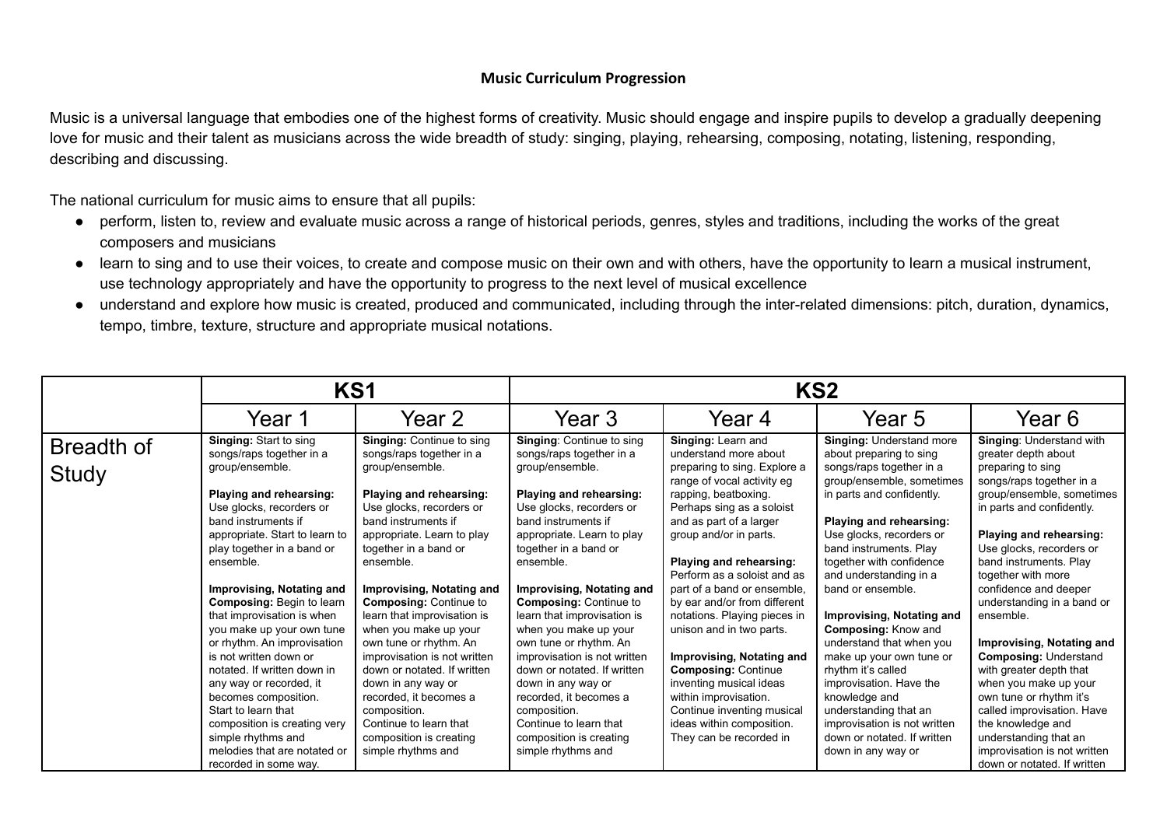Music is a universal language that embodies one of the highest forms of creativity. Music should engage and inspire pupils to develop a gradually deepening love for music and their talent as musicians across the wide breadth of study: singing, playing, rehearsing, composing, notating, listening, responding, describing and discussing.

The national curriculum for music aims to ensure that all pupils:

- perform, listen to, review and evaluate music across a range of historical periods, genres, styles and traditions, including the works of the great composers and musicians
- learn to sing and to use their voices, to create and compose music on their own and with others, have the opportunity to learn a musical instrument, use technology appropriately and have the opportunity to progress to the next level of musical excellence
- understand and explore how music is created, produced and communicated, including through the inter-related dimensions: pitch, duration, dynamics, tempo, timbre, texture, structure and appropriate musical notations.

|              | KS <sub>1</sub>                                                                    |                                                                         | KS <sub>2</sub>                                                         |                                                             |                                                                                   |                                                                            |
|--------------|------------------------------------------------------------------------------------|-------------------------------------------------------------------------|-------------------------------------------------------------------------|-------------------------------------------------------------|-----------------------------------------------------------------------------------|----------------------------------------------------------------------------|
|              | Year 1                                                                             | Year 2                                                                  | Year <sub>3</sub>                                                       | Year 4                                                      | Year 5                                                                            | Year 6                                                                     |
| Breadth of   | Singing: Start to sing<br>songs/raps together in a                                 | <b>Singing: Continue to sing</b><br>songs/raps together in a            | <b>Singing: Continue to sing</b><br>songs/raps together in a            | Singing: Learn and<br>understand more about                 | Singing: Understand more<br>about preparing to sing                               | <b>Singing: Understand with</b><br>greater depth about                     |
| <b>Study</b> | group/ensemble.                                                                    | group/ensemble.                                                         | group/ensemble.                                                         | preparing to sing. Explore a<br>range of vocal activity eg  | songs/raps together in a<br>group/ensemble, sometimes                             | preparing to sing<br>songs/raps together in a                              |
|              | Playing and rehearsing:<br>Use glocks, recorders or                                | Playing and rehearsing:<br>Use glocks, recorders or                     | Playing and rehearsing:<br>Use glocks, recorders or                     | rapping, beatboxing.<br>Perhaps sing as a soloist           | in parts and confidently.                                                         | group/ensemble, sometimes<br>in parts and confidently.                     |
|              | band instruments if<br>appropriate. Start to learn to                              | band instruments if<br>appropriate. Learn to play                       | band instruments if<br>appropriate. Learn to play                       | and as part of a larger<br>group and/or in parts.           | Playing and rehearsing:<br>Use glocks, recorders or                               | Playing and rehearsing:                                                    |
|              | play together in a band or<br>ensemble.                                            | together in a band or<br>ensemble.                                      | together in a band or<br>ensemble.                                      | Playing and rehearsing:<br>Perform as a soloist and as      | band instruments. Play<br>together with confidence                                | Use glocks, recorders or<br>band instruments. Play                         |
|              | Improvising, Notating and<br><b>Composing: Begin to learn</b>                      | Improvising, Notating and<br><b>Composing: Continue to</b>              | Improvising, Notating and<br><b>Composing: Continue to</b>              | part of a band or ensemble,<br>by ear and/or from different | and understanding in a<br>band or ensemble.                                       | together with more<br>confidence and deeper<br>understanding in a band or  |
|              | that improvisation is when<br>you make up your own tune                            | learn that improvisation is<br>when you make up your                    | learn that improvisation is<br>when you make up your                    | notations. Playing pieces in<br>unison and in two parts.    | Improvising, Notating and<br><b>Composing: Know and</b>                           | ensemble.                                                                  |
|              | or rhythm. An improvisation<br>is not written down or                              | own tune or rhythm. An<br>improvisation is not written                  | own tune or rhythm. An<br>improvisation is not written                  | Improvising, Notating and                                   | understand that when you<br>make up your own tune or                              | Improvising, Notating and<br><b>Composing: Understand</b>                  |
|              | notated. If written down in<br>any way or recorded, it                             | down or notated. If written<br>down in any way or                       | down or notated. If written<br>down in any way or                       | <b>Composing: Continue</b><br>inventing musical ideas       | rhythm it's called<br>improvisation. Have the                                     | with greater depth that<br>when you make up your                           |
|              | becomes composition.<br>Start to learn that                                        | recorded, it becomes a<br>composition.                                  | recorded, it becomes a<br>composition.                                  | within improvisation.<br>Continue inventing musical         | knowledge and<br>understanding that an                                            | own tune or rhythm it's<br>called improvisation. Have                      |
|              | composition is creating very<br>simple rhythms and<br>melodies that are notated or | Continue to learn that<br>composition is creating<br>simple rhythms and | Continue to learn that<br>composition is creating<br>simple rhythms and | ideas within composition.<br>They can be recorded in        | improvisation is not written<br>down or notated. If written<br>down in any way or | the knowledge and<br>understanding that an<br>improvisation is not written |
|              | recorded in some way.                                                              |                                                                         |                                                                         |                                                             |                                                                                   | down or notated. If written                                                |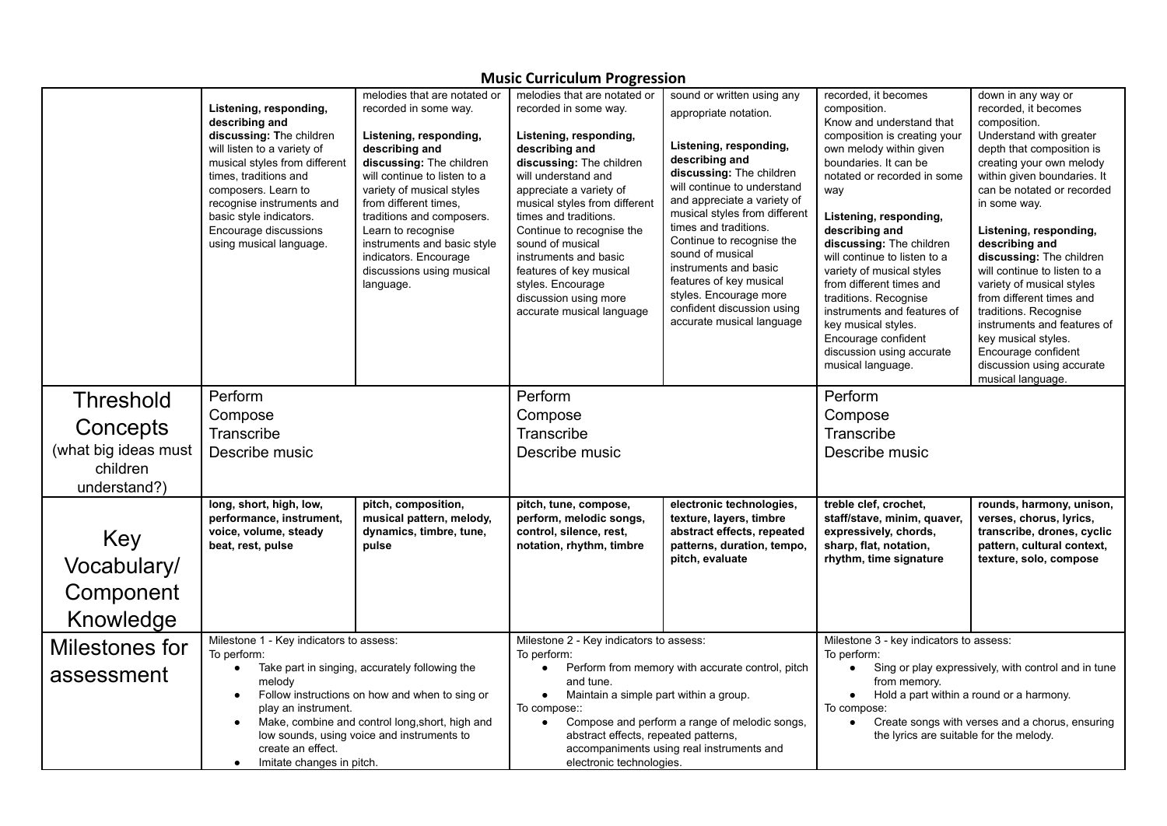| <b>IVIUSIC CUITICUIUM Progression</b>        |                                                                                                                                                                                                                                                                                                                  |                                                                                                                                                                                                                                                                                                                                                                          |                                                                                                                                                                                                                                                                                                                                                                                                                           |                                                                                                                                                                                                                                                                                                                                                                                                                                               |                                                                                                                                                                                                                                                                                                                                                                                                                                                                                                                     |                                                                                                                                                                                                                                                                                                                                                                                                                                                                                                                                                      |
|----------------------------------------------|------------------------------------------------------------------------------------------------------------------------------------------------------------------------------------------------------------------------------------------------------------------------------------------------------------------|--------------------------------------------------------------------------------------------------------------------------------------------------------------------------------------------------------------------------------------------------------------------------------------------------------------------------------------------------------------------------|---------------------------------------------------------------------------------------------------------------------------------------------------------------------------------------------------------------------------------------------------------------------------------------------------------------------------------------------------------------------------------------------------------------------------|-----------------------------------------------------------------------------------------------------------------------------------------------------------------------------------------------------------------------------------------------------------------------------------------------------------------------------------------------------------------------------------------------------------------------------------------------|---------------------------------------------------------------------------------------------------------------------------------------------------------------------------------------------------------------------------------------------------------------------------------------------------------------------------------------------------------------------------------------------------------------------------------------------------------------------------------------------------------------------|------------------------------------------------------------------------------------------------------------------------------------------------------------------------------------------------------------------------------------------------------------------------------------------------------------------------------------------------------------------------------------------------------------------------------------------------------------------------------------------------------------------------------------------------------|
|                                              | Listening, responding,<br>describing and<br>discussing: The children<br>will listen to a variety of<br>musical styles from different<br>times, traditions and<br>composers. Learn to<br>recognise instruments and<br>basic style indicators.<br>Encourage discussions<br>using musical language.                 | melodies that are notated or<br>recorded in some way.<br>Listening, responding,<br>describing and<br>discussing: The children<br>will continue to listen to a<br>variety of musical styles<br>from different times.<br>traditions and composers.<br>Learn to recognise<br>instruments and basic style<br>indicators. Encourage<br>discussions using musical<br>language. | melodies that are notated or<br>recorded in some way.<br>Listening, responding,<br>describing and<br>discussing: The children<br>will understand and<br>appreciate a variety of<br>musical styles from different<br>times and traditions.<br>Continue to recognise the<br>sound of musical<br>instruments and basic<br>features of key musical<br>styles. Encourage<br>discussion using more<br>accurate musical language | sound or written using any<br>appropriate notation.<br>Listening, responding,<br>describing and<br>discussing: The children<br>will continue to understand<br>and appreciate a variety of<br>musical styles from different<br>times and traditions.<br>Continue to recognise the<br>sound of musical<br>instruments and basic<br>features of key musical<br>styles. Encourage more<br>confident discussion using<br>accurate musical language | recorded, it becomes<br>composition.<br>Know and understand that<br>composition is creating your<br>own melody within given<br>boundaries. It can be<br>notated or recorded in some<br>way<br>Listening, responding,<br>describing and<br>discussing: The children<br>will continue to listen to a<br>variety of musical styles<br>from different times and<br>traditions. Recognise<br>instruments and features of<br>key musical styles.<br>Encourage confident<br>discussion using accurate<br>musical language. | down in any way or<br>recorded, it becomes<br>composition.<br>Understand with greater<br>depth that composition is<br>creating your own melody<br>within given boundaries. It<br>can be notated or recorded<br>in some way.<br>Listening, responding,<br>describing and<br>discussing: The children<br>will continue to listen to a<br>variety of musical styles<br>from different times and<br>traditions. Recognise<br>instruments and features of<br>key musical styles.<br>Encourage confident<br>discussion using accurate<br>musical language. |
| <b>Threshold</b>                             | Perform                                                                                                                                                                                                                                                                                                          |                                                                                                                                                                                                                                                                                                                                                                          | Perform                                                                                                                                                                                                                                                                                                                                                                                                                   |                                                                                                                                                                                                                                                                                                                                                                                                                                               | Perform                                                                                                                                                                                                                                                                                                                                                                                                                                                                                                             |                                                                                                                                                                                                                                                                                                                                                                                                                                                                                                                                                      |
| Concepts                                     | Compose                                                                                                                                                                                                                                                                                                          |                                                                                                                                                                                                                                                                                                                                                                          | Compose                                                                                                                                                                                                                                                                                                                                                                                                                   |                                                                                                                                                                                                                                                                                                                                                                                                                                               | Compose<br>Transcribe                                                                                                                                                                                                                                                                                                                                                                                                                                                                                               |                                                                                                                                                                                                                                                                                                                                                                                                                                                                                                                                                      |
| (what big ideas must                         | Transcribe                                                                                                                                                                                                                                                                                                       |                                                                                                                                                                                                                                                                                                                                                                          | Transcribe                                                                                                                                                                                                                                                                                                                                                                                                                |                                                                                                                                                                                                                                                                                                                                                                                                                                               | Describe music                                                                                                                                                                                                                                                                                                                                                                                                                                                                                                      |                                                                                                                                                                                                                                                                                                                                                                                                                                                                                                                                                      |
| children<br>understand?)                     | Describe music                                                                                                                                                                                                                                                                                                   |                                                                                                                                                                                                                                                                                                                                                                          | Describe music                                                                                                                                                                                                                                                                                                                                                                                                            |                                                                                                                                                                                                                                                                                                                                                                                                                                               |                                                                                                                                                                                                                                                                                                                                                                                                                                                                                                                     |                                                                                                                                                                                                                                                                                                                                                                                                                                                                                                                                                      |
| Key<br>Vocabulary/<br>Component<br>Knowledge | long, short, high, low,<br>performance, instrument,<br>voice, volume, steady<br>beat, rest, pulse                                                                                                                                                                                                                | pitch, composition,<br>musical pattern, melody,<br>dynamics, timbre, tune,<br>pulse                                                                                                                                                                                                                                                                                      | pitch, tune, compose,<br>perform, melodic songs,<br>control, silence, rest,<br>notation, rhythm, timbre                                                                                                                                                                                                                                                                                                                   | electronic technologies,<br>texture, layers, timbre<br>abstract effects, repeated<br>patterns, duration, tempo,<br>pitch, evaluate                                                                                                                                                                                                                                                                                                            | treble clef, crochet,<br>staff/stave, minim, quaver,<br>expressively, chords,<br>sharp, flat, notation,<br>rhythm, time signature                                                                                                                                                                                                                                                                                                                                                                                   | rounds, harmony, unison,<br>verses, chorus, lyrics,<br>transcribe, drones, cyclic<br>pattern, cultural context,<br>texture, solo, compose                                                                                                                                                                                                                                                                                                                                                                                                            |
| Milestones for                               | Milestone 1 - Key indicators to assess:                                                                                                                                                                                                                                                                          |                                                                                                                                                                                                                                                                                                                                                                          | Milestone 2 - Key indicators to assess:                                                                                                                                                                                                                                                                                                                                                                                   |                                                                                                                                                                                                                                                                                                                                                                                                                                               | Milestone 3 - key indicators to assess:                                                                                                                                                                                                                                                                                                                                                                                                                                                                             |                                                                                                                                                                                                                                                                                                                                                                                                                                                                                                                                                      |
| assessment                                   | To perform:<br>Take part in singing, accurately following the<br>melody<br>Follow instructions on how and when to sing or<br>play an instrument.<br>Make, combine and control long, short, high and<br>low sounds, using voice and instruments to<br>create an effect.<br>Imitate changes in pitch.<br>$\bullet$ |                                                                                                                                                                                                                                                                                                                                                                          | To perform:<br>and tune.<br>$\bullet$<br>To compose::<br>$\bullet$<br>electronic technologies.                                                                                                                                                                                                                                                                                                                            | To perform:<br>Perform from memory with accurate control, pitch<br>from memory.<br>Maintain a simple part within a group.<br>Hold a part within a round or a harmony.<br>To compose:<br>Compose and perform a range of melodic songs,<br>abstract effects, repeated patterns,<br>the lyrics are suitable for the melody.<br>accompaniments using real instruments and                                                                         |                                                                                                                                                                                                                                                                                                                                                                                                                                                                                                                     | Sing or play expressively, with control and in tune<br>Create songs with verses and a chorus, ensuring                                                                                                                                                                                                                                                                                                                                                                                                                                               |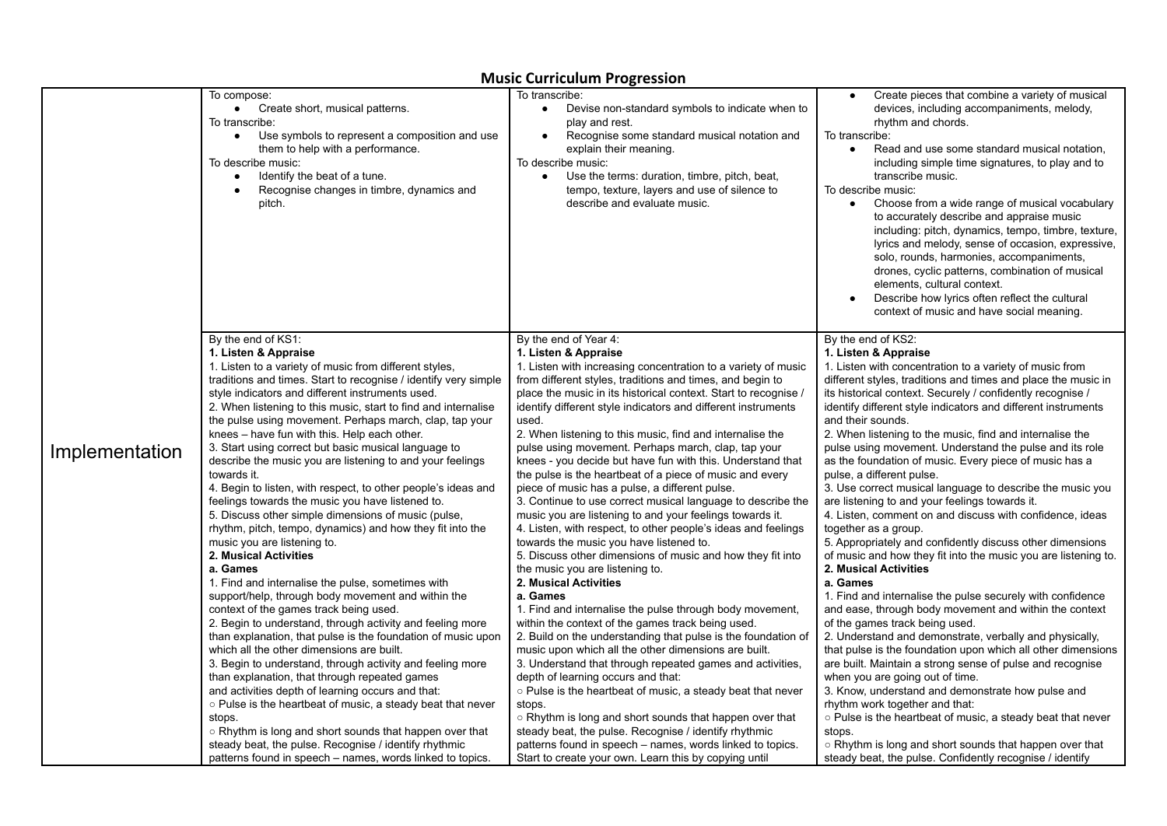|                |                                                                                                                                                                                                                                                                                               | masic carricalam i rogression                                                                                                                                                                                                                                                                                                                               |                                                                                                                                                                                                                                                                                                                                                                                                                                                                                                                                                                                                                                                                                                                              |
|----------------|-----------------------------------------------------------------------------------------------------------------------------------------------------------------------------------------------------------------------------------------------------------------------------------------------|-------------------------------------------------------------------------------------------------------------------------------------------------------------------------------------------------------------------------------------------------------------------------------------------------------------------------------------------------------------|------------------------------------------------------------------------------------------------------------------------------------------------------------------------------------------------------------------------------------------------------------------------------------------------------------------------------------------------------------------------------------------------------------------------------------------------------------------------------------------------------------------------------------------------------------------------------------------------------------------------------------------------------------------------------------------------------------------------------|
|                | To compose:<br>Create short, musical patterns.<br>$\bullet$<br>To transcribe:<br>Use symbols to represent a composition and use<br>$\bullet$<br>them to help with a performance.<br>To describe music:<br>Identify the beat of a tune.<br>Recognise changes in timbre, dynamics and<br>pitch. | To transcribe:<br>Devise non-standard symbols to indicate when to<br>$\bullet$<br>play and rest.<br>Recognise some standard musical notation and<br>$\bullet$<br>explain their meaning.<br>To describe music:<br>Use the terms: duration, timbre, pitch, beat,<br>$\bullet$<br>tempo, texture, layers and use of silence to<br>describe and evaluate music. | Create pieces that combine a variety of musical<br>devices, including accompaniments, melody,<br>rhythm and chords.<br>To transcribe:<br>Read and use some standard musical notation,<br>including simple time signatures, to play and to<br>transcribe music.<br>To describe music:<br>Choose from a wide range of musical vocabulary<br>to accurately describe and appraise music<br>including: pitch, dynamics, tempo, timbre, texture,<br>lyrics and melody, sense of occasion, expressive,<br>solo, rounds, harmonies, accompaniments,<br>drones, cyclic patterns, combination of musical<br>elements, cultural context.<br>Describe how lyrics often reflect the cultural<br>context of music and have social meaning. |
| Implementation | By the end of KS1:                                                                                                                                                                                                                                                                            | By the end of Year 4:                                                                                                                                                                                                                                                                                                                                       | By the end of KS2:                                                                                                                                                                                                                                                                                                                                                                                                                                                                                                                                                                                                                                                                                                           |
|                | 1. Listen & Appraise                                                                                                                                                                                                                                                                          | 1. Listen & Appraise                                                                                                                                                                                                                                                                                                                                        | 1. Listen & Appraise                                                                                                                                                                                                                                                                                                                                                                                                                                                                                                                                                                                                                                                                                                         |
|                | 1. Listen to a variety of music from different styles,                                                                                                                                                                                                                                        | 1. Listen with increasing concentration to a variety of music                                                                                                                                                                                                                                                                                               | 1. Listen with concentration to a variety of music from                                                                                                                                                                                                                                                                                                                                                                                                                                                                                                                                                                                                                                                                      |
|                | traditions and times. Start to recognise / identify very simple                                                                                                                                                                                                                               | from different styles, traditions and times, and begin to                                                                                                                                                                                                                                                                                                   | different styles, traditions and times and place the music in                                                                                                                                                                                                                                                                                                                                                                                                                                                                                                                                                                                                                                                                |
|                | style indicators and different instruments used.                                                                                                                                                                                                                                              | place the music in its historical context. Start to recognise /                                                                                                                                                                                                                                                                                             | its historical context. Securely / confidently recognise /                                                                                                                                                                                                                                                                                                                                                                                                                                                                                                                                                                                                                                                                   |
|                | 2. When listening to this music, start to find and internalise                                                                                                                                                                                                                                | identify different style indicators and different instruments                                                                                                                                                                                                                                                                                               | identify different style indicators and different instruments                                                                                                                                                                                                                                                                                                                                                                                                                                                                                                                                                                                                                                                                |
|                | the pulse using movement. Perhaps march, clap, tap your                                                                                                                                                                                                                                       | used.                                                                                                                                                                                                                                                                                                                                                       | and their sounds.                                                                                                                                                                                                                                                                                                                                                                                                                                                                                                                                                                                                                                                                                                            |
|                | knees - have fun with this. Help each other.                                                                                                                                                                                                                                                  | 2. When listening to this music, find and internalise the                                                                                                                                                                                                                                                                                                   | 2. When listening to the music, find and internalise the                                                                                                                                                                                                                                                                                                                                                                                                                                                                                                                                                                                                                                                                     |
|                | 3. Start using correct but basic musical language to                                                                                                                                                                                                                                          | pulse using movement. Perhaps march, clap, tap your                                                                                                                                                                                                                                                                                                         | pulse using movement. Understand the pulse and its role                                                                                                                                                                                                                                                                                                                                                                                                                                                                                                                                                                                                                                                                      |
|                | describe the music you are listening to and your feelings                                                                                                                                                                                                                                     | knees - you decide but have fun with this. Understand that                                                                                                                                                                                                                                                                                                  | as the foundation of music. Every piece of music has a                                                                                                                                                                                                                                                                                                                                                                                                                                                                                                                                                                                                                                                                       |
|                | towards it.                                                                                                                                                                                                                                                                                   | the pulse is the heartbeat of a piece of music and every                                                                                                                                                                                                                                                                                                    | pulse, a different pulse.                                                                                                                                                                                                                                                                                                                                                                                                                                                                                                                                                                                                                                                                                                    |
|                | 4. Begin to listen, with respect, to other people's ideas and                                                                                                                                                                                                                                 | piece of music has a pulse, a different pulse.                                                                                                                                                                                                                                                                                                              | 3. Use correct musical language to describe the music you                                                                                                                                                                                                                                                                                                                                                                                                                                                                                                                                                                                                                                                                    |
|                | feelings towards the music you have listened to.                                                                                                                                                                                                                                              | 3. Continue to use correct musical language to describe the                                                                                                                                                                                                                                                                                                 | are listening to and your feelings towards it.                                                                                                                                                                                                                                                                                                                                                                                                                                                                                                                                                                                                                                                                               |
|                | 5. Discuss other simple dimensions of music (pulse,                                                                                                                                                                                                                                           | music you are listening to and your feelings towards it.                                                                                                                                                                                                                                                                                                    | 4. Listen, comment on and discuss with confidence, ideas                                                                                                                                                                                                                                                                                                                                                                                                                                                                                                                                                                                                                                                                     |
|                | rhythm, pitch, tempo, dynamics) and how they fit into the                                                                                                                                                                                                                                     | 4. Listen, with respect, to other people's ideas and feelings                                                                                                                                                                                                                                                                                               | together as a group.                                                                                                                                                                                                                                                                                                                                                                                                                                                                                                                                                                                                                                                                                                         |
|                | music you are listening to.                                                                                                                                                                                                                                                                   | towards the music you have listened to.                                                                                                                                                                                                                                                                                                                     | 5. Appropriately and confidently discuss other dimensions                                                                                                                                                                                                                                                                                                                                                                                                                                                                                                                                                                                                                                                                    |
|                | 2. Musical Activities                                                                                                                                                                                                                                                                         | 5. Discuss other dimensions of music and how they fit into                                                                                                                                                                                                                                                                                                  | of music and how they fit into the music you are listening to.                                                                                                                                                                                                                                                                                                                                                                                                                                                                                                                                                                                                                                                               |
|                | a. Games                                                                                                                                                                                                                                                                                      | the music you are listening to.                                                                                                                                                                                                                                                                                                                             | 2. Musical Activities                                                                                                                                                                                                                                                                                                                                                                                                                                                                                                                                                                                                                                                                                                        |
|                | 1. Find and internalise the pulse, sometimes with                                                                                                                                                                                                                                             | 2. Musical Activities                                                                                                                                                                                                                                                                                                                                       | a. Games                                                                                                                                                                                                                                                                                                                                                                                                                                                                                                                                                                                                                                                                                                                     |
|                | support/help, through body movement and within the                                                                                                                                                                                                                                            | a. Games                                                                                                                                                                                                                                                                                                                                                    | 1. Find and internalise the pulse securely with confidence                                                                                                                                                                                                                                                                                                                                                                                                                                                                                                                                                                                                                                                                   |
|                | context of the games track being used.                                                                                                                                                                                                                                                        | 1. Find and internalise the pulse through body movement,                                                                                                                                                                                                                                                                                                    | and ease, through body movement and within the context                                                                                                                                                                                                                                                                                                                                                                                                                                                                                                                                                                                                                                                                       |
|                | 2. Begin to understand, through activity and feeling more                                                                                                                                                                                                                                     | within the context of the games track being used.                                                                                                                                                                                                                                                                                                           | of the games track being used.                                                                                                                                                                                                                                                                                                                                                                                                                                                                                                                                                                                                                                                                                               |
|                | than explanation, that pulse is the foundation of music upon                                                                                                                                                                                                                                  | 2. Build on the understanding that pulse is the foundation of                                                                                                                                                                                                                                                                                               | 2. Understand and demonstrate, verbally and physically,                                                                                                                                                                                                                                                                                                                                                                                                                                                                                                                                                                                                                                                                      |
|                | which all the other dimensions are built.                                                                                                                                                                                                                                                     | music upon which all the other dimensions are built.                                                                                                                                                                                                                                                                                                        | that pulse is the foundation upon which all other dimensions                                                                                                                                                                                                                                                                                                                                                                                                                                                                                                                                                                                                                                                                 |
|                | 3. Begin to understand, through activity and feeling more                                                                                                                                                                                                                                     | 3. Understand that through repeated games and activities,                                                                                                                                                                                                                                                                                                   | are built. Maintain a strong sense of pulse and recognise                                                                                                                                                                                                                                                                                                                                                                                                                                                                                                                                                                                                                                                                    |
|                | than explanation, that through repeated games                                                                                                                                                                                                                                                 | depth of learning occurs and that:                                                                                                                                                                                                                                                                                                                          | when you are going out of time.                                                                                                                                                                                                                                                                                                                                                                                                                                                                                                                                                                                                                                                                                              |
|                | and activities depth of learning occurs and that:                                                                                                                                                                                                                                             | ○ Pulse is the heartbeat of music, a steady beat that never                                                                                                                                                                                                                                                                                                 | 3. Know, understand and demonstrate how pulse and                                                                                                                                                                                                                                                                                                                                                                                                                                                                                                                                                                                                                                                                            |
|                | ○ Pulse is the heartbeat of music, a steady beat that never                                                                                                                                                                                                                                   | stops.                                                                                                                                                                                                                                                                                                                                                      | rhythm work together and that:                                                                                                                                                                                                                                                                                                                                                                                                                                                                                                                                                                                                                                                                                               |
|                | stops.                                                                                                                                                                                                                                                                                        | $\circ$ Rhythm is long and short sounds that happen over that                                                                                                                                                                                                                                                                                               | ○ Pulse is the heartbeat of music, a steady beat that never                                                                                                                                                                                                                                                                                                                                                                                                                                                                                                                                                                                                                                                                  |
|                | ○ Rhythm is long and short sounds that happen over that                                                                                                                                                                                                                                       | steady beat, the pulse. Recognise / identify rhythmic                                                                                                                                                                                                                                                                                                       | stops.                                                                                                                                                                                                                                                                                                                                                                                                                                                                                                                                                                                                                                                                                                                       |
|                | steady beat, the pulse. Recognise / identify rhythmic                                                                                                                                                                                                                                         | patterns found in speech – names, words linked to topics.                                                                                                                                                                                                                                                                                                   | ○ Rhythm is long and short sounds that happen over that                                                                                                                                                                                                                                                                                                                                                                                                                                                                                                                                                                                                                                                                      |
|                | patterns found in speech – names, words linked to topics.                                                                                                                                                                                                                                     | Start to create your own. Learn this by copying until                                                                                                                                                                                                                                                                                                       | steady beat, the pulse. Confidently recognise / identify                                                                                                                                                                                                                                                                                                                                                                                                                                                                                                                                                                                                                                                                     |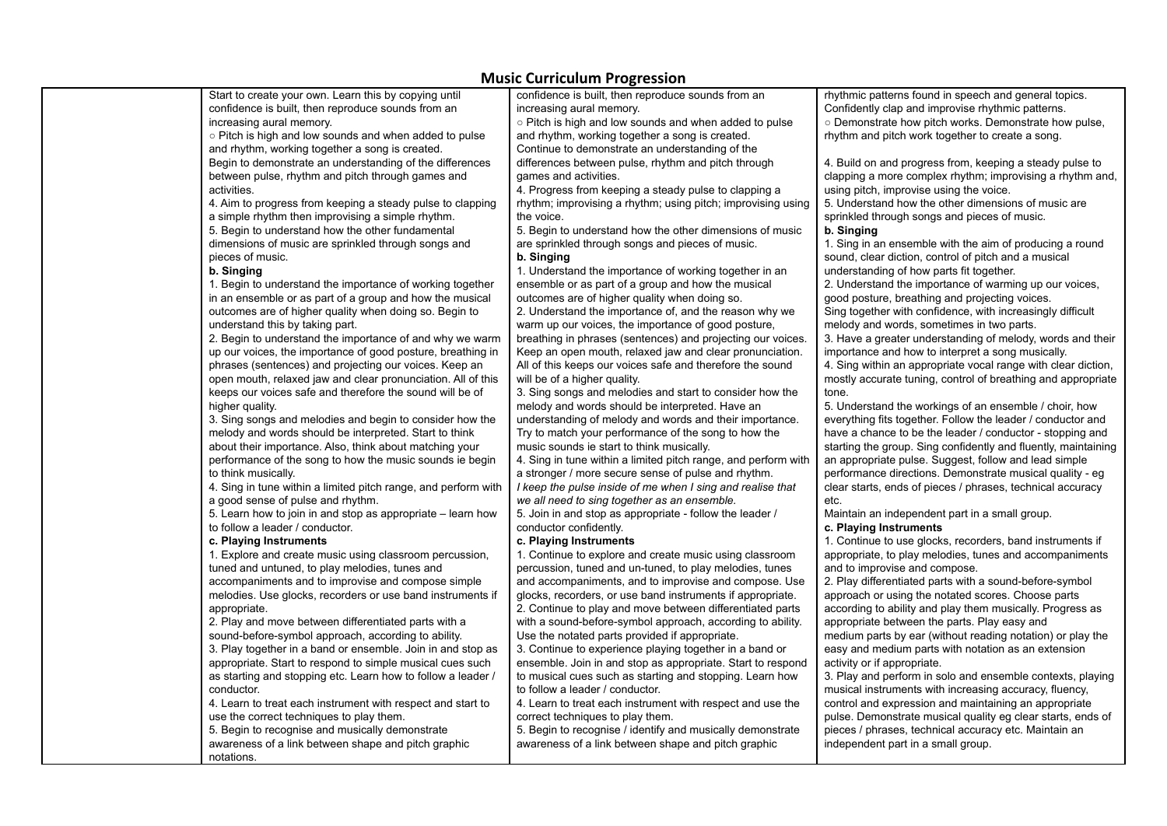| rhythmic patterns found in speech and general topics.<br>Start to create your own. Learn this by copying until<br>confidence is built, then reproduce sounds from an<br>confidence is built, then reproduce sounds from an<br>increasing aural memory.<br>Confidently clap and improvise rhythmic patterns. |  |
|-------------------------------------------------------------------------------------------------------------------------------------------------------------------------------------------------------------------------------------------------------------------------------------------------------------|--|
|                                                                                                                                                                                                                                                                                                             |  |
|                                                                                                                                                                                                                                                                                                             |  |
| increasing aural memory.<br>○ Pitch is high and low sounds and when added to pulse<br>○ Demonstrate how pitch works. Demonstrate how pulse,                                                                                                                                                                 |  |
| ○ Pitch is high and low sounds and when added to pulse<br>and rhythm, working together a song is created.<br>rhythm and pitch work together to create a song.                                                                                                                                               |  |
| and rhythm, working together a song is created.<br>Continue to demonstrate an understanding of the                                                                                                                                                                                                          |  |
| Begin to demonstrate an understanding of the differences<br>differences between pulse, rhythm and pitch through<br>4. Build on and progress from, keeping a steady pulse to                                                                                                                                 |  |
| between pulse, rhythm and pitch through games and<br>games and activities.<br>clapping a more complex rhythm; improvising a rhythm and,                                                                                                                                                                     |  |
| 4. Progress from keeping a steady pulse to clapping a<br>activities.<br>using pitch, improvise using the voice.                                                                                                                                                                                             |  |
| 4. Aim to progress from keeping a steady pulse to clapping<br>rhythm; improvising a rhythm; using pitch; improvising using<br>5. Understand how the other dimensions of music are                                                                                                                           |  |
| a simple rhythm then improvising a simple rhythm.<br>the voice.<br>sprinkled through songs and pieces of music.                                                                                                                                                                                             |  |
| 5. Begin to understand how the other fundamental<br>5. Begin to understand how the other dimensions of music<br>b. Singing                                                                                                                                                                                  |  |
| dimensions of music are sprinkled through songs and<br>are sprinkled through songs and pieces of music.<br>1. Sing in an ensemble with the aim of producing a round                                                                                                                                         |  |
| pieces of music.<br>b. Singing<br>sound, clear diction, control of pitch and a musical                                                                                                                                                                                                                      |  |
| b. Singing<br>1. Understand the importance of working together in an<br>understanding of how parts fit together.                                                                                                                                                                                            |  |
| ensemble or as part of a group and how the musical<br>2. Understand the importance of warming up our voices,<br>1. Begin to understand the importance of working together                                                                                                                                   |  |
| in an ensemble or as part of a group and how the musical<br>outcomes are of higher quality when doing so.<br>good posture, breathing and projecting voices.                                                                                                                                                 |  |
| outcomes are of higher quality when doing so. Begin to<br>2. Understand the importance of, and the reason why we<br>Sing together with confidence, with increasingly difficult                                                                                                                              |  |
| understand this by taking part.<br>warm up our voices, the importance of good posture,<br>melody and words, sometimes in two parts.                                                                                                                                                                         |  |
| 2. Begin to understand the importance of and why we warm<br>breathing in phrases (sentences) and projecting our voices.<br>3. Have a greater understanding of melody, words and their                                                                                                                       |  |
| up our voices, the importance of good posture, breathing in<br>Keep an open mouth, relaxed jaw and clear pronunciation.<br>importance and how to interpret a song musically.                                                                                                                                |  |
| phrases (sentences) and projecting our voices. Keep an<br>All of this keeps our voices safe and therefore the sound<br>4. Sing within an appropriate vocal range with clear diction,                                                                                                                        |  |
| open mouth, relaxed jaw and clear pronunciation. All of this<br>mostly accurate tuning, control of breathing and appropriate<br>will be of a higher quality.                                                                                                                                                |  |
| keeps our voices safe and therefore the sound will be of<br>3. Sing songs and melodies and start to consider how the<br>tone.                                                                                                                                                                               |  |
| higher quality.<br>melody and words should be interpreted. Have an<br>5. Understand the workings of an ensemble / choir, how                                                                                                                                                                                |  |
| 3. Sing songs and melodies and begin to consider how the<br>understanding of melody and words and their importance.<br>everything fits together. Follow the leader / conductor and                                                                                                                          |  |
| have a chance to be the leader / conductor - stopping and<br>melody and words should be interpreted. Start to think<br>Try to match your performance of the song to how the                                                                                                                                 |  |
| about their importance. Also, think about matching your<br>music sounds ie start to think musically.<br>starting the group. Sing confidently and fluently, maintaining                                                                                                                                      |  |
| an appropriate pulse. Suggest, follow and lead simple<br>performance of the song to how the music sounds ie begin<br>4. Sing in tune within a limited pitch range, and perform with                                                                                                                         |  |
| to think musically.<br>a stronger / more secure sense of pulse and rhythm.<br>performance directions. Demonstrate musical quality - eg                                                                                                                                                                      |  |
| 4. Sing in tune within a limited pitch range, and perform with<br>clear starts, ends of pieces / phrases, technical accuracy<br>I keep the pulse inside of me when I sing and realise that                                                                                                                  |  |
| a good sense of pulse and rhythm.<br>we all need to sing together as an ensemble.<br>etc.                                                                                                                                                                                                                   |  |
| 5. Learn how to join in and stop as appropriate – learn how<br>5. Join in and stop as appropriate - follow the leader /<br>Maintain an independent part in a small group.                                                                                                                                   |  |
| to follow a leader / conductor.<br>conductor confidently.<br>c. Playing Instruments                                                                                                                                                                                                                         |  |
| c. Playing Instruments<br>1. Continue to use glocks, recorders, band instruments if<br>c. Playing Instruments                                                                                                                                                                                               |  |
| appropriate, to play melodies, tunes and accompaniments<br>1. Explore and create music using classroom percussion,<br>1. Continue to explore and create music using classroom                                                                                                                               |  |
| percussion, tuned and un-tuned, to play melodies, tunes<br>tuned and untuned, to play melodies, tunes and<br>and to improvise and compose.                                                                                                                                                                  |  |
| 2. Play differentiated parts with a sound-before-symbol<br>accompaniments and to improvise and compose simple<br>and accompaniments, and to improvise and compose. Use                                                                                                                                      |  |
| melodies. Use glocks, recorders or use band instruments if<br>glocks, recorders, or use band instruments if appropriate.<br>approach or using the notated scores. Choose parts                                                                                                                              |  |
| according to ability and play them musically. Progress as<br>appropriate.<br>2. Continue to play and move between differentiated parts                                                                                                                                                                      |  |
| 2. Play and move between differentiated parts with a<br>with a sound-before-symbol approach, according to ability.<br>appropriate between the parts. Play easy and                                                                                                                                          |  |
| sound-before-symbol approach, according to ability.<br>Use the notated parts provided if appropriate.<br>medium parts by ear (without reading notation) or play the                                                                                                                                         |  |
| 3. Play together in a band or ensemble. Join in and stop as<br>3. Continue to experience playing together in a band or<br>easy and medium parts with notation as an extension                                                                                                                               |  |
| activity or if appropriate.<br>appropriate. Start to respond to simple musical cues such<br>ensemble. Join in and stop as appropriate. Start to respond                                                                                                                                                     |  |
| as starting and stopping etc. Learn how to follow a leader /<br>to musical cues such as starting and stopping. Learn how<br>3. Play and perform in solo and ensemble contexts, playing                                                                                                                      |  |
| to follow a leader / conductor.<br>musical instruments with increasing accuracy, fluency,<br>conductor.                                                                                                                                                                                                     |  |
| 4. Learn to treat each instrument with respect and start to<br>4. Learn to treat each instrument with respect and use the<br>control and expression and maintaining an appropriate                                                                                                                          |  |
| pulse. Demonstrate musical quality eg clear starts, ends of<br>use the correct techniques to play them.<br>correct techniques to play them.                                                                                                                                                                 |  |
| 5. Begin to recognise and musically demonstrate<br>5. Begin to recognise / identify and musically demonstrate<br>pieces / phrases, technical accuracy etc. Maintain an                                                                                                                                      |  |
| awareness of a link between shape and pitch graphic<br>awareness of a link between shape and pitch graphic<br>independent part in a small group.                                                                                                                                                            |  |
| notations.                                                                                                                                                                                                                                                                                                  |  |
|                                                                                                                                                                                                                                                                                                             |  |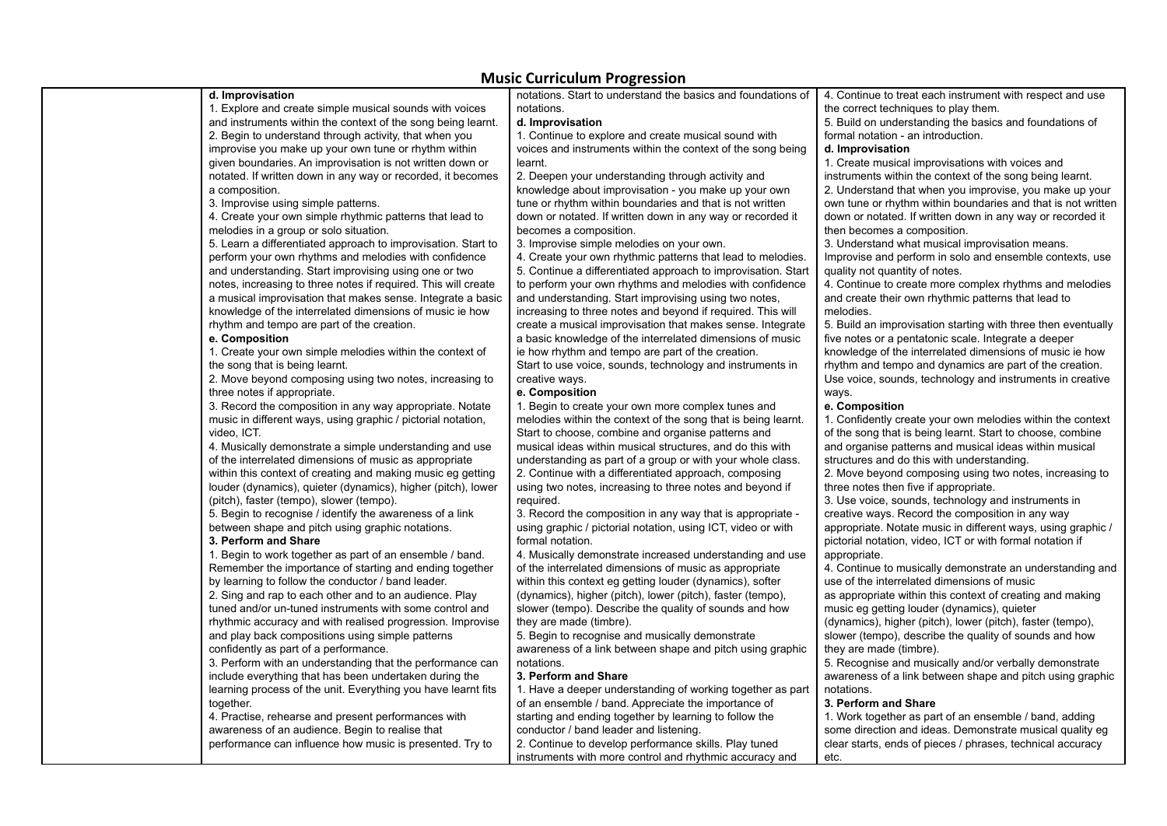|                                                                | $1118312$ carricalarii 11951 copioni                          |                                                               |
|----------------------------------------------------------------|---------------------------------------------------------------|---------------------------------------------------------------|
| d. Improvisation                                               | notations. Start to understand the basics and foundations of  | 4. Continue to treat each instrument with respect and use     |
| 1. Explore and create simple musical sounds with voices        | notations.                                                    | the correct techniques to play them.                          |
| and instruments within the context of the song being learnt.   | d. Improvisation                                              | 5. Build on understanding the basics and foundations of       |
| 2. Begin to understand through activity, that when you         | 1. Continue to explore and create musical sound with          | formal notation - an introduction.                            |
| improvise you make up your own tune or rhythm within           | voices and instruments within the context of the song being   | d. Improvisation                                              |
| given boundaries. An improvisation is not written down or      | learnt.                                                       | 1. Create musical improvisations with voices and              |
| notated. If written down in any way or recorded, it becomes    | 2. Deepen your understanding through activity and             | instruments within the context of the song being learnt.      |
| a composition.                                                 | knowledge about improvisation - you make up your own          | 2. Understand that when you improvise, you make up your       |
| 3. Improvise using simple patterns.                            | tune or rhythm within boundaries and that is not written      | own tune or rhythm within boundaries and that is not written  |
| 4. Create your own simple rhythmic patterns that lead to       | down or notated. If written down in any way or recorded it    | down or notated. If written down in any way or recorded it    |
| melodies in a group or solo situation.                         | becomes a composition.                                        | then becomes a composition.                                   |
| 5. Learn a differentiated approach to improvisation. Start to  | 3. Improvise simple melodies on your own.                     | 3. Understand what musical improvisation means.               |
| perform your own rhythms and melodies with confidence          | 4. Create your own rhythmic patterns that lead to melodies.   | Improvise and perform in solo and ensemble contexts, use      |
| and understanding. Start improvising using one or two          | 5. Continue a differentiated approach to improvisation. Start | quality not quantity of notes.                                |
| notes, increasing to three notes if required. This will create | to perform your own rhythms and melodies with confidence      | 4. Continue to create more complex rhythms and melodies       |
| a musical improvisation that makes sense. Integrate a basic    | and understanding. Start improvising using two notes,         | and create their own rhythmic patterns that lead to           |
| knowledge of the interrelated dimensions of music ie how       | increasing to three notes and beyond if required. This will   | melodies.                                                     |
| rhythm and tempo are part of the creation.                     | create a musical improvisation that makes sense. Integrate    | 5. Build an improvisation starting with three then eventually |
| e. Composition                                                 | a basic knowledge of the interrelated dimensions of music     | five notes or a pentatonic scale. Integrate a deeper          |
| 1. Create your own simple melodies within the context of       | ie how rhythm and tempo are part of the creation.             | knowledge of the interrelated dimensions of music ie how      |
| the song that is being learnt.                                 | Start to use voice, sounds, technology and instruments in     | rhythm and tempo and dynamics are part of the creation.       |
| 2. Move beyond composing using two notes, increasing to        | creative ways.                                                | Use voice, sounds, technology and instruments in creative     |
| three notes if appropriate.                                    | e. Composition                                                | ways.                                                         |
| 3. Record the composition in any way appropriate. Notate       | 1. Begin to create your own more complex tunes and            | e. Composition                                                |
| music in different ways, using graphic / pictorial notation,   | melodies within the context of the song that is being learnt. | 1. Confidently create your own melodies within the context    |
| video, ICT.                                                    | Start to choose, combine and organise patterns and            | of the song that is being learnt. Start to choose, combine    |
| 4. Musically demonstrate a simple understanding and use        | musical ideas within musical structures, and do this with     | and organise patterns and musical ideas within musical        |
| of the interrelated dimensions of music as appropriate         | understanding as part of a group or with your whole class.    | structures and do this with understanding.                    |
| within this context of creating and making music eg getting    | 2. Continue with a differentiated approach, composing         | 2. Move beyond composing using two notes, increasing to       |
| louder (dynamics), quieter (dynamics), higher (pitch), lower   | using two notes, increasing to three notes and beyond if      | three notes then five if appropriate.                         |
| (pitch), faster (tempo), slower (tempo).                       | required.                                                     | 3. Use voice, sounds, technology and instruments in           |
| 5. Begin to recognise / identify the awareness of a link       | 3. Record the composition in any way that is appropriate -    | creative ways. Record the composition in any way              |
| between shape and pitch using graphic notations.               | using graphic / pictorial notation, using ICT, video or with  | appropriate. Notate music in different ways, using graphic /  |
| 3. Perform and Share                                           | formal notation.                                              | pictorial notation, video, ICT or with formal notation if     |
| 1. Begin to work together as part of an ensemble / band.       | 4. Musically demonstrate increased understanding and use      | appropriate.                                                  |
| Remember the importance of starting and ending together        | of the interrelated dimensions of music as appropriate        | 4. Continue to musically demonstrate an understanding and     |
| by learning to follow the conductor / band leader.             | within this context eg getting louder (dynamics), softer      | use of the interrelated dimensions of music                   |
| 2. Sing and rap to each other and to an audience. Play         | (dynamics), higher (pitch), lower (pitch), faster (tempo),    | as appropriate within this context of creating and making     |
| tuned and/or un-tuned instruments with some control and        | slower (tempo). Describe the quality of sounds and how        | music eg getting louder (dynamics), quieter                   |
| rhythmic accuracy and with realised progression. Improvise     | they are made (timbre).                                       | (dynamics), higher (pitch), lower (pitch), faster (tempo),    |
| and play back compositions using simple patterns               | 5. Begin to recognise and musically demonstrate               | slower (tempo), describe the quality of sounds and how        |
| confidently as part of a performance.                          | awareness of a link between shape and pitch using graphic     | they are made (timbre).                                       |
| 3. Perform with an understanding that the performance can      | notations.                                                    | 5. Recognise and musically and/or verbally demonstrate        |
| include everything that has been undertaken during the         | 3. Perform and Share                                          | awareness of a link between shape and pitch using graphic     |
| learning process of the unit. Everything you have learnt fits  | 1. Have a deeper understanding of working together as part    | notations.                                                    |
| together.                                                      | of an ensemble / band. Appreciate the importance of           | 3. Perform and Share                                          |
| 4. Practise, rehearse and present performances with            | starting and ending together by learning to follow the        | 1. Work together as part of an ensemble / band, adding        |
| awareness of an audience. Begin to realise that                | conductor / band leader and listening.                        | some direction and ideas. Demonstrate musical quality eg      |
| performance can influence how music is presented. Try to       |                                                               |                                                               |
|                                                                | 2. Continue to develop performance skills. Play tuned         | clear starts, ends of pieces / phrases, technical accuracy    |
|                                                                | instruments with more control and rhythmic accuracy and       | etc.                                                          |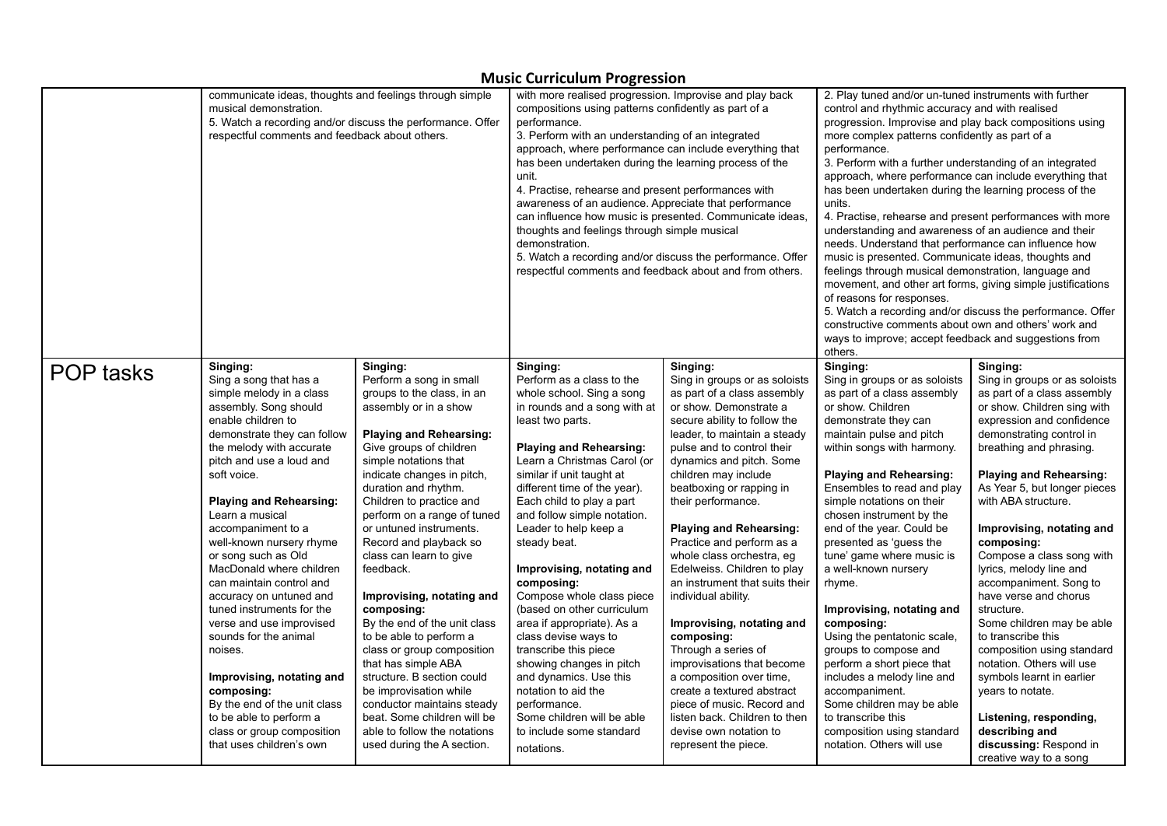|                  | communicate ideas, thoughts and feelings through simple<br>musical demonstration.<br>respectful comments and feedback about others. | 5. Watch a recording and/or discuss the performance. Offer | with more realised progression. Improvise and play back<br>compositions using patterns confidently as part of a<br>performance.<br>3. Perform with an understanding of an integrated<br>approach, where performance can include everything that<br>has been undertaken during the learning process of the<br>unit.<br>4. Practise, rehearse and present performances with<br>awareness of an audience. Appreciate that performance<br>can influence how music is presented. Communicate ideas,<br>thoughts and feelings through simple musical<br>demonstration.<br>respectful comments and feedback about and from others. | 5. Watch a recording and/or discuss the performance. Offer | 2. Play tuned and/or un-tuned instruments with further<br>control and rhythmic accuracy and with realised<br>progression. Improvise and play back compositions using<br>more complex patterns confidently as part of a<br>performance.<br>3. Perform with a further understanding of an integrated<br>approach, where performance can include everything that<br>has been undertaken during the learning process of the<br>units.<br>4. Practise, rehearse and present performances with more<br>understanding and awareness of an audience and their<br>needs. Understand that performance can influence how<br>music is presented. Communicate ideas, thoughts and<br>feelings through musical demonstration, language and<br>movement, and other art forms, giving simple justifications<br>of reasons for responses.<br>constructive comments about own and others' work and<br>ways to improve; accept feedback and suggestions from<br>others. | 5. Watch a recording and/or discuss the performance. Offer |
|------------------|-------------------------------------------------------------------------------------------------------------------------------------|------------------------------------------------------------|-----------------------------------------------------------------------------------------------------------------------------------------------------------------------------------------------------------------------------------------------------------------------------------------------------------------------------------------------------------------------------------------------------------------------------------------------------------------------------------------------------------------------------------------------------------------------------------------------------------------------------|------------------------------------------------------------|------------------------------------------------------------------------------------------------------------------------------------------------------------------------------------------------------------------------------------------------------------------------------------------------------------------------------------------------------------------------------------------------------------------------------------------------------------------------------------------------------------------------------------------------------------------------------------------------------------------------------------------------------------------------------------------------------------------------------------------------------------------------------------------------------------------------------------------------------------------------------------------------------------------------------------------------------|------------------------------------------------------------|
| <b>POP tasks</b> | Singing:                                                                                                                            | Singing:                                                   | Singing:                                                                                                                                                                                                                                                                                                                                                                                                                                                                                                                                                                                                                    | Singing:                                                   | Singing:                                                                                                                                                                                                                                                                                                                                                                                                                                                                                                                                                                                                                                                                                                                                                                                                                                                                                                                                             | Singing:                                                   |
|                  | Sing a song that has a                                                                                                              | Perform a song in small                                    | Perform as a class to the                                                                                                                                                                                                                                                                                                                                                                                                                                                                                                                                                                                                   | Sing in groups or as soloists                              | Sing in groups or as soloists                                                                                                                                                                                                                                                                                                                                                                                                                                                                                                                                                                                                                                                                                                                                                                                                                                                                                                                        | Sing in groups or as soloists                              |
|                  | simple melody in a class                                                                                                            | groups to the class, in an                                 | whole school. Sing a song                                                                                                                                                                                                                                                                                                                                                                                                                                                                                                                                                                                                   | as part of a class assembly                                | as part of a class assembly                                                                                                                                                                                                                                                                                                                                                                                                                                                                                                                                                                                                                                                                                                                                                                                                                                                                                                                          | as part of a class assembly                                |
|                  | assembly. Song should                                                                                                               | assembly or in a show                                      | in rounds and a song with at                                                                                                                                                                                                                                                                                                                                                                                                                                                                                                                                                                                                | or show. Demonstrate a                                     | or show. Children                                                                                                                                                                                                                                                                                                                                                                                                                                                                                                                                                                                                                                                                                                                                                                                                                                                                                                                                    | or show. Children sing with                                |
|                  | enable children to                                                                                                                  | <b>Playing and Rehearsing:</b>                             | least two parts.                                                                                                                                                                                                                                                                                                                                                                                                                                                                                                                                                                                                            | secure ability to follow the                               | demonstrate they can                                                                                                                                                                                                                                                                                                                                                                                                                                                                                                                                                                                                                                                                                                                                                                                                                                                                                                                                 | expression and confidence                                  |
|                  | demonstrate they can follow                                                                                                         | Give groups of children                                    | <b>Playing and Rehearsing:</b>                                                                                                                                                                                                                                                                                                                                                                                                                                                                                                                                                                                              | leader, to maintain a steady                               | maintain pulse and pitch                                                                                                                                                                                                                                                                                                                                                                                                                                                                                                                                                                                                                                                                                                                                                                                                                                                                                                                             | demonstrating control in                                   |
|                  | the melody with accurate                                                                                                            | simple notations that                                      | Learn a Christmas Carol (or                                                                                                                                                                                                                                                                                                                                                                                                                                                                                                                                                                                                 | pulse and to control their                                 | within songs with harmony.                                                                                                                                                                                                                                                                                                                                                                                                                                                                                                                                                                                                                                                                                                                                                                                                                                                                                                                           | breathing and phrasing.                                    |
|                  | pitch and use a loud and                                                                                                            | indicate changes in pitch,                                 | similar if unit taught at                                                                                                                                                                                                                                                                                                                                                                                                                                                                                                                                                                                                   | dynamics and pitch. Some                                   | <b>Playing and Rehearsing:</b>                                                                                                                                                                                                                                                                                                                                                                                                                                                                                                                                                                                                                                                                                                                                                                                                                                                                                                                       | <b>Playing and Rehearsing:</b>                             |
|                  | soft voice.                                                                                                                         | duration and rhythm.                                       | different time of the year).                                                                                                                                                                                                                                                                                                                                                                                                                                                                                                                                                                                                | children may include                                       | Ensembles to read and play                                                                                                                                                                                                                                                                                                                                                                                                                                                                                                                                                                                                                                                                                                                                                                                                                                                                                                                           | As Year 5, but longer pieces                               |
|                  | <b>Playing and Rehearsing:</b>                                                                                                      | Children to practice and                                   | Each child to play a part                                                                                                                                                                                                                                                                                                                                                                                                                                                                                                                                                                                                   | beatboxing or rapping in                                   | simple notations on their                                                                                                                                                                                                                                                                                                                                                                                                                                                                                                                                                                                                                                                                                                                                                                                                                                                                                                                            | with ABA structure.                                        |
|                  | Learn a musical                                                                                                                     | perform on a range of tuned                                | and follow simple notation.                                                                                                                                                                                                                                                                                                                                                                                                                                                                                                                                                                                                 | their performance.                                         | chosen instrument by the                                                                                                                                                                                                                                                                                                                                                                                                                                                                                                                                                                                                                                                                                                                                                                                                                                                                                                                             | Improvising, notating and                                  |
|                  | accompaniment to a                                                                                                                  | or untuned instruments.                                    | Leader to help keep a                                                                                                                                                                                                                                                                                                                                                                                                                                                                                                                                                                                                       | <b>Playing and Rehearsing:</b>                             | end of the year. Could be                                                                                                                                                                                                                                                                                                                                                                                                                                                                                                                                                                                                                                                                                                                                                                                                                                                                                                                            | composing:                                                 |
|                  | well-known nursery rhyme                                                                                                            | Record and playback so                                     | steady beat.                                                                                                                                                                                                                                                                                                                                                                                                                                                                                                                                                                                                                | Practice and perform as a                                  | presented as 'guess the                                                                                                                                                                                                                                                                                                                                                                                                                                                                                                                                                                                                                                                                                                                                                                                                                                                                                                                              | Compose a class song with                                  |
|                  | or song such as Old                                                                                                                 | class can learn to give                                    | Improvising, notating and                                                                                                                                                                                                                                                                                                                                                                                                                                                                                                                                                                                                   | whole class orchestra, eg                                  | tune' game where music is                                                                                                                                                                                                                                                                                                                                                                                                                                                                                                                                                                                                                                                                                                                                                                                                                                                                                                                            | lyrics, melody line and                                    |
|                  | MacDonald where children                                                                                                            | feedback.                                                  | composing:                                                                                                                                                                                                                                                                                                                                                                                                                                                                                                                                                                                                                  | Edelweiss. Children to play                                | a well-known nursery                                                                                                                                                                                                                                                                                                                                                                                                                                                                                                                                                                                                                                                                                                                                                                                                                                                                                                                                 | accompaniment. Song to                                     |
|                  | can maintain control and                                                                                                            | Improvising, notating and                                  | Compose whole class piece                                                                                                                                                                                                                                                                                                                                                                                                                                                                                                                                                                                                   | an instrument that suits their                             | rhyme.                                                                                                                                                                                                                                                                                                                                                                                                                                                                                                                                                                                                                                                                                                                                                                                                                                                                                                                                               | have verse and chorus                                      |
|                  | accuracy on untuned and                                                                                                             | composing:                                                 | (based on other curriculum                                                                                                                                                                                                                                                                                                                                                                                                                                                                                                                                                                                                  | individual ability.                                        | Improvising, notating and                                                                                                                                                                                                                                                                                                                                                                                                                                                                                                                                                                                                                                                                                                                                                                                                                                                                                                                            | structure.                                                 |
|                  | tuned instruments for the                                                                                                           | By the end of the unit class                               | area if appropriate). As a                                                                                                                                                                                                                                                                                                                                                                                                                                                                                                                                                                                                  | Improvising, notating and                                  | composing:                                                                                                                                                                                                                                                                                                                                                                                                                                                                                                                                                                                                                                                                                                                                                                                                                                                                                                                                           | Some children may be able                                  |
|                  | verse and use improvised                                                                                                            | to be able to perform a                                    | class devise ways to                                                                                                                                                                                                                                                                                                                                                                                                                                                                                                                                                                                                        | composing:                                                 | Using the pentatonic scale,                                                                                                                                                                                                                                                                                                                                                                                                                                                                                                                                                                                                                                                                                                                                                                                                                                                                                                                          | to transcribe this                                         |
|                  | sounds for the animal                                                                                                               | class or group composition                                 | transcribe this piece                                                                                                                                                                                                                                                                                                                                                                                                                                                                                                                                                                                                       | Through a series of                                        | groups to compose and                                                                                                                                                                                                                                                                                                                                                                                                                                                                                                                                                                                                                                                                                                                                                                                                                                                                                                                                | composition using standard                                 |
|                  | noises.                                                                                                                             | that has simple ABA                                        | showing changes in pitch                                                                                                                                                                                                                                                                                                                                                                                                                                                                                                                                                                                                    | improvisations that become                                 | perform a short piece that                                                                                                                                                                                                                                                                                                                                                                                                                                                                                                                                                                                                                                                                                                                                                                                                                                                                                                                           | notation. Others will use                                  |
|                  | Improvising, notating and                                                                                                           | structure. B section could                                 | and dynamics. Use this                                                                                                                                                                                                                                                                                                                                                                                                                                                                                                                                                                                                      | a composition over time,                                   | includes a melody line and                                                                                                                                                                                                                                                                                                                                                                                                                                                                                                                                                                                                                                                                                                                                                                                                                                                                                                                           | symbols learnt in earlier                                  |
|                  | composing:                                                                                                                          | be improvisation while                                     | notation to aid the                                                                                                                                                                                                                                                                                                                                                                                                                                                                                                                                                                                                         | create a textured abstract                                 | accompaniment.                                                                                                                                                                                                                                                                                                                                                                                                                                                                                                                                                                                                                                                                                                                                                                                                                                                                                                                                       | years to notate.                                           |
|                  | By the end of the unit class                                                                                                        | conductor maintains steady                                 | performance.                                                                                                                                                                                                                                                                                                                                                                                                                                                                                                                                                                                                                | piece of music. Record and                                 | Some children may be able                                                                                                                                                                                                                                                                                                                                                                                                                                                                                                                                                                                                                                                                                                                                                                                                                                                                                                                            | Listening, responding,                                     |
|                  | to be able to perform a                                                                                                             | beat. Some children will be                                | Some children will be able                                                                                                                                                                                                                                                                                                                                                                                                                                                                                                                                                                                                  | listen back. Children to then                              | to transcribe this                                                                                                                                                                                                                                                                                                                                                                                                                                                                                                                                                                                                                                                                                                                                                                                                                                                                                                                                   | describing and                                             |
|                  | class or group composition                                                                                                          | able to follow the notations                               | to include some standard                                                                                                                                                                                                                                                                                                                                                                                                                                                                                                                                                                                                    | devise own notation to                                     | composition using standard                                                                                                                                                                                                                                                                                                                                                                                                                                                                                                                                                                                                                                                                                                                                                                                                                                                                                                                           | discussing: Respond in                                     |
|                  | that uses children's own                                                                                                            | used during the A section.                                 | notations.                                                                                                                                                                                                                                                                                                                                                                                                                                                                                                                                                                                                                  | represent the piece.                                       | notation. Others will use                                                                                                                                                                                                                                                                                                                                                                                                                                                                                                                                                                                                                                                                                                                                                                                                                                                                                                                            | creative way to a song                                     |